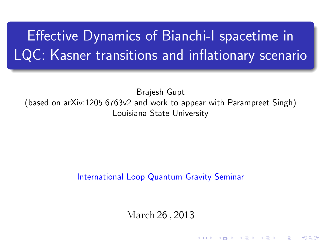# Effective Dynamics of Bianchi-I spacetime in LQC: Kasner transitions and inflationary scenario

Brajesh Gupt (based on [arXiv:1205.6763v2](http://arxiv.org/abs/1205.6763) and work to appear with Parampreet Singh) Louisiana State University

#### International Loop Quantum Gravity Seminar

March 26 , 2013

K ロ X K d X X X X X X X X X X X X X X X

 $2Q$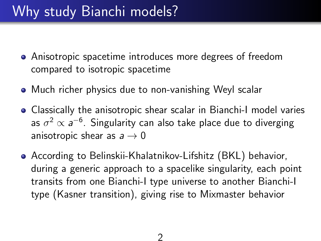- Anisotropic spacetime introduces more degrees of freedom compared to isotropic spacetime
- Much richer physics due to non-vanishing Weyl scalar
- Classically the anisotropic shear scalar in Bianchi-I model varies as  $\sigma^2 \propto a^{-6}$ . Singularity can also take place due to diverging anisotropic shear as  $a \rightarrow 0$
- According to Belinskii-Khalatnikov-Lifshitz (BKL) behavior, during a generic approach to a spacelike singularity, each point transits from one Bianchi-I type universe to another Bianchi-I type (Kasner transition), giving rise to Mixmaster behavior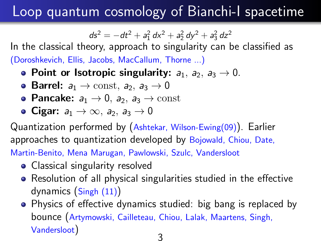# Loop quantum cosmology of Bianchi-I spacetime

 $ds^2 = -dt^2 + a_1^2 dx^2 + a_2^2 dy^2 + a_3^2 dz^2$ 

In the classical theory, approach to singularity can be classified as (Doroshkevich, Ellis, Jacobs, MacCallum, Thorne ...)

- Point or Isotropic singularity:  $a_1$ ,  $a_2$ ,  $a_3 \rightarrow 0$ .
- Barrel:  $a_1 \rightarrow \text{const}, a_2, a_3 \rightarrow 0$
- Pancake:  $a_1 \rightarrow 0$ ,  $a_2$ ,  $a_3 \rightarrow$  const
- Cigar:  $a_1 \rightarrow \infty$ ,  $a_2$ ,  $a_3 \rightarrow 0$

Quantization performed by (Ashtekar, Wilson-Ewing(09)). Earlier approaches to quantization developed by Bojowald, Chiou, Date, Martin-Benito, Mena Marugan, Pawlowski, Szulc, Vandersloot

- Classical singularity resolved
- Resolution of all physical singularities studied in the effective dynamics (Singh (11))
- Physics of effective dynamics studied: big bang is replaced by bounce (Artymowski, Cailleteau, Chiou, Lalak, Maartens, Singh, Vandersloot)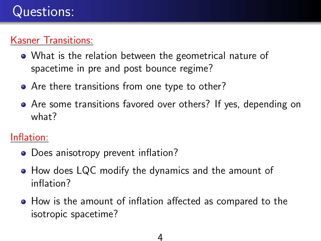#### Kasner Transitions:

- What is the relation between the geometrical nature of spacetime in pre and post bounce regime?
- Are there transitions from one type to other?
- Are some transitions favored over others? If yes, depending on what?

#### Inflation:

- Does anisotropy prevent inflation?
- How does LQC modify the dynamics and the amount of inflation?
- How is the amount of inflation affected as compared to the isotropic spacetime?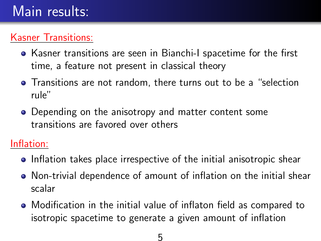#### Kasner Transitions:

- Kasner transitions are seen in Bianchi-I spacetime for the first time, a feature not present in classical theory
- Transitions are not random, there turns out to be a "selection rule"
- Depending on the anisotropy and matter content some transitions are favored over others

Inflation:

- **•** Inflation takes place irrespective of the initial anisotropic shear
- Non-trivial dependence of amount of inflation on the initial shear scalar
- Modification in the initial value of inflaton field as compared to isotropic spacetime to generate a given amount of inflation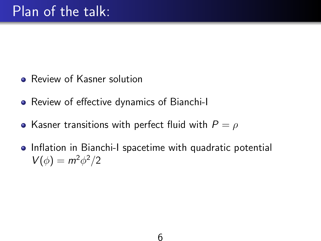- **Review of Kasner solution**
- Review of effective dynamics of Bianchi-I
- Kasner transitions with perfect fluid with  $P = \rho$
- Inflation in Bianchi-I spacetime with quadratic potential  $V(\phi) = m^2 \phi^2/2$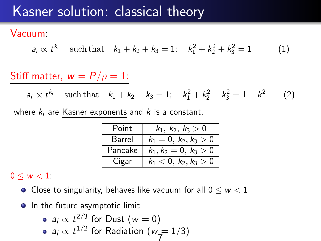## Kasner solution: classical theory

#### Vacuum:

$$
a_i \propto t^{k_i} \quad \text{such that} \quad k_1 + k_2 + k_3 = 1; \quad k_1^2 + k_2^2 + k_3^2 = 1 \tag{1}
$$

#### Stiff matter,  $w = P/\rho = 1$ :

 $a_i \propto t^{k_i}$  such that  $k_1 + k_2 + k_3 = 1$ ;  $k_1^2 + k_2^2 + k_3^2 = 1 - k^2$ (2)

where  $k_i$  are Kasner exponents and  $k$  is a constant.

| Point   | $k_1, k_2, k_3 > 0$     |
|---------|-------------------------|
| Barrel  | $k_1 = 0, k_2, k_3 > 0$ |
| Pancake | $k_1, k_2 = 0, k_3 > 0$ |
| Cigar   | $k_1 < 0, k_2, k_3 > 0$ |

#### $0 \leq w < 1$

- Close to singularity, behaves like vacuum for all  $0 \leq w < 1$
- In the future asymptotic limit

\n- $$
a_i \propto t^{2/3}
$$
 for Dust  $(w = 0)$
\n- $a_i \propto t^{1/2}$  for Radiation  $(w = 1/3)$
\n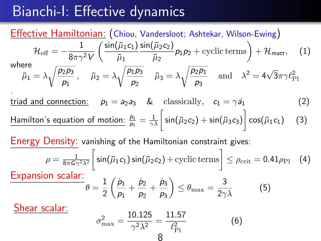## Bianchi-I: Effective dynamics

#### Effective Hamiltonian: (Chiou, Vandersloot; Ashtekar, Wilson-Ewing)  ${\cal H}_{\rm eff}=-\frac{1}{2\pi\alpha}$ 8 $\pi\gamma^2$  V  $\int$  sin $(\bar{\mu}_1 c_1)$  $\bar{\mu}_1$  $\mathsf{sin}(\bar{\mu}_2c_2)$  $\left(\frac{\bar{\mu}_2 c_2}{\bar{\mu}_2}\right)$   $p_1 p_2$  + cyclic terms  $+ \mathcal{H}_{\text{matt}},$  (1) where  $\bar{\mu}_1 = \lambda \sqrt{\frac{p_2 p_3}{n}}$  $\overline{\frac{\rho_2 \rho_3}{\rho_1}}\,,\quad \bar{\mu}_2=\lambda \sqrt{\frac{\rho_1 \rho_3}{\rho_2}}\,.$  $\frac{\bar{p}_1\bar{p}_3}{\bar{p}_2}$   $\bar{\mu}_3 = \lambda \sqrt{\frac{\bar{p}_2\bar{p}_1}{\bar{p}_3}}$  $\frac{\overline{2p_1}}{p_3}$  and  $\lambda^2 = 4\sqrt{3}\pi\gamma\ell_{\rm Pl}^2$ .

triad and connection:  $p_1 = a_2 a_3$  & classically,  $c_1 = \gamma a_1$  (2)  $\frac{\text{Hamilton's equation of motion:}}{\rho_1} \frac{\dot{\rho}_1}{\rho_1} = \frac{1}{\gamma \lambda} \bigg[ \sin(\bar{\mu}_2 c_2) + \sin(\bar{\mu}_3 c_3) \bigg] \cos(\bar{\mu}_1 c_1) \quad \text{ (3)}$ 

Energy Density: vanishing of the Hamiltonian constraint gives:

$$
\rho = \frac{1}{8\pi G \gamma^2 \lambda^2} \left[ \sin(\bar{\mu}_1 c_1) \sin(\bar{\mu}_2 c_2) + \text{cyclic terms} \right] \le \rho_{\text{crit}} = 0.41 \rho_{\text{Pl}} \quad (4)
$$

Expansion scalar:

$$
\theta = \frac{1}{2} \left( \frac{\dot{p}_1}{p_1} + \frac{\dot{p}_2}{p_2} + \frac{\dot{p}_3}{p_3} \right) \le \theta_{\text{max}} = \frac{3}{2\gamma\lambda} \tag{5}
$$

Shear scalar:

$$
\sigma_{\text{max}}^2 = \frac{10.125}{\gamma^2 \lambda^2} = \frac{11.57}{\ell_{\text{Pl}}^2} \tag{6}
$$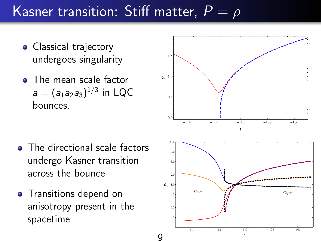# Kasner transition: Stiff matter,  $P = \rho$

- Classical trajectory undergoes singularity
- **•** The mean scale factor  $a=(a_1a_2a_3)^{1/3}$  in LQC bounces.



- The directional scale factors undergo Kasner transition across the bounce
- **•** Transitions depend on anisotropy present in the spacetime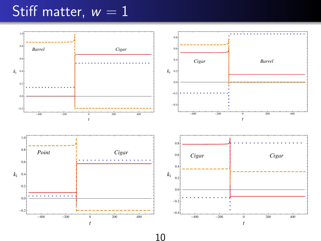#### Stiff matter,  $w = 1$



10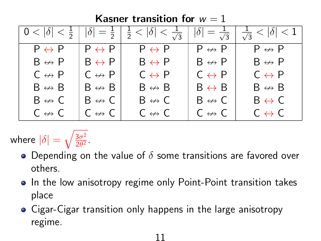| Kasner transition for $w = 1$ |                        |                                                                        |                                 |                                 |  |  |  |
|-------------------------------|------------------------|------------------------------------------------------------------------|---------------------------------|---------------------------------|--|--|--|
| $0 <  \delta  < \frac{1}{2}$  |                        | $ \delta  = \frac{1}{2}   \frac{1}{2} <  \delta  < \frac{1}{\sqrt{3}}$ | $ \delta  = \frac{1}{\sqrt{3}}$ | $\frac{1}{\sqrt{3}}< \delta <1$ |  |  |  |
| $P \leftrightarrow P$         | $P \leftrightarrow P$  | $P \leftrightarrow P$                                                  | $P \leftrightarrow P$           | $P \leftrightarrow P$           |  |  |  |
| $B \leftrightarrow P$         | $B \leftrightarrow P$  | $B \leftrightarrow P$                                                  | $B \leftrightarrow P$           | $B \leftrightarrow P$           |  |  |  |
| $C \leftrightarrow P$         | $C \leftrightarrow P$  | $C \leftrightarrow P$                                                  | $C \leftrightarrow P$           | $C \leftrightarrow P$           |  |  |  |
| $B \leftrightarrow B$         | $B \leftrightarrow B$  | $B \leftrightarrow B$                                                  | $B \leftrightarrow B$           | $B \leftrightarrow B$           |  |  |  |
| $B \leftrightarrow C$         | $B \leftrightarrow C$  | $B \nleftrightarrow C$                                                 | $B \leftrightarrow C$           | $B \leftrightarrow C$           |  |  |  |
| $C \nleftrightarrow C$        | $C \nleftrightarrow C$ | $C \nleftrightarrow C$                                                 | $C \nleftrightarrow C$          | $C \leftrightarrow C$           |  |  |  |

where  $|\delta|=\sqrt{\frac{3\sigma^2}{2\theta^2}}$  $rac{3\sigma^2}{2\theta^2}$ .

- Depending on the value of  $\delta$  some transitions are favored over others.
- In the low anisotropy regime only Point-Point transition takes place

11

Cigar-Cigar transition only happens in the large anisotropy regime.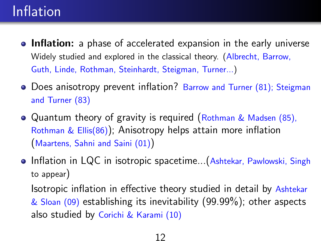# Inflation

- **Inflation:** a phase of accelerated expansion in the early universe Widely studied and explored in the classical theory. (Albrecht, Barrow, Guth, Linde, Rothman, Steinhardt, Steigman, Turner...)
- Does anisotropy prevent inflation? Barrow and Turner (81); Steigman and Turner (83)
- Quantum theory of gravity is required (Rothman & Madsen (85), Rothman & Ellis(86)); Anisotropy helps attain more inflation (Maartens, Sahni and Saini (01))
- Inflation in LQC in isotropic spacetime...(Ashtekar, Pawlowski, Singh to appear)

Isotropic inflation in effective theory studied in detail by Ashtekar  $&$  Sloan (09) establishing its inevitability (99.99%); other aspects also studied by Corichi & Karami (10)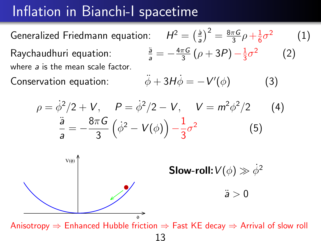## Inflation in Bianchi-I spacetime

Generalized Friedmann equation:  $H^2 = \frac{\dot{a}^2}{a^2}$  $\frac{\dot{a}}{a}$  $\Big)^2 = \frac{8\pi G}{3}$  $\frac{\pi G}{3} \rho + \frac{1}{6}$  $\frac{1}{6}\sigma^2$ (1) Raychaudhuri equation:  $\frac{a}{a} = -\frac{4\pi G}{3}$  $\frac{\pi G}{3}(\rho+3P)-\frac{1}{3}$  $\frac{1}{3}\sigma^2$  (2) where a is the mean scale factor.

Conservation equation:

$$
\ddot{\phi} + 3H\dot{\phi} = -V'(\phi) \tag{3}
$$

$$
\rho = \dot{\phi}^2/2 + V, \quad P = \dot{\phi}^2/2 - V, \quad V = m^2 \phi^2/2 \qquad (4)
$$

$$
\frac{\ddot{a}}{a} = -\frac{8\pi G}{3} \left( \dot{\phi}^2 - V(\phi) \right) - \frac{1}{3} \sigma^2 \qquad (5)
$$

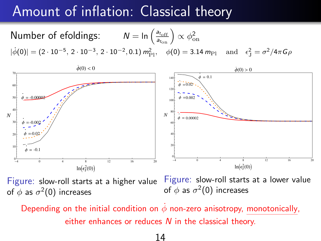# Amount of inflation: Classical theory

Number of efoldings:  $N = \ln\left(\frac{a_{\text{t}_{\text{off}}}}{a_{\text{t}_{\text{on}}}}\right) \propto \phi_{\text{on}}^2$  $|\dot{\phi}(0)| = (2 \cdot 10^{-5}, 2 \cdot 10^{-3}, 2 \cdot 10^{-2}, 0.1) \, m_{\text{Pl}}^2, \quad \phi(0) = 3.14 \, m_{\text{Pl}} \quad \text{and} \quad \epsilon_{\text{J}}^2 = \sigma^2 / 4 \pi \, \text{G} \rho$ 



Figure: slow-roll starts at a higher value of  $\phi$  as  $\sigma^2(0)$  increases

Figure: slow-roll starts at a lower value of  $\phi$  as  $\sigma^2(0)$  increases

Depending on the initial condition on  $\phi$  non-zero anisotropy, monotonically, either enhances or reduces  *in the classical theory.*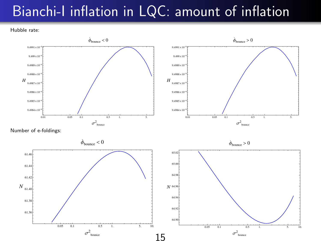## Bianchi-I inflation in LQC: amount of inflation

Hubble rate:

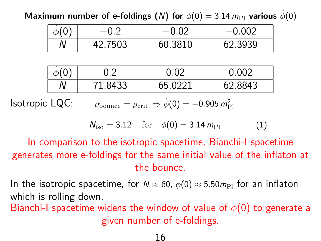Maximum number of e-foldings (N) for  $\phi(0) = 3.14 \, m_{\text{Pl}}$  various  $\dot{\phi}(0)$ 

|                                                                                                                     |   | $-0.2$  | $-0.02$ | $-0.002$ |  |  |
|---------------------------------------------------------------------------------------------------------------------|---|---------|---------|----------|--|--|
|                                                                                                                     |   | 42.7503 | 60.3810 | 62.3939  |  |  |
|                                                                                                                     |   |         |         |          |  |  |
|                                                                                                                     |   | 0.2     | 0.02    | 0.002    |  |  |
|                                                                                                                     | Ν | 71.8433 | 65.0221 | 62.8843  |  |  |
| Isotropic LQC:<br>$\rho_{\text{bounce}} = \rho_{\text{crit}} \Rightarrow \dot{\phi}(0) = -0.905 \, m_{\text{Pl}}^2$ |   |         |         |          |  |  |

$$
N_{\rm iso} = 3.12 \quad \text{for} \quad \phi(0) = 3.14 \, m_{\rm Pl} \tag{1}
$$

In comparison to the isotropic spacetime, Bianchi-I spacetime generates more e-foldings for the same initial value of the inflaton at the bounce.

In the isotropic spacetime, for  $N \approx 60$ ,  $\phi(0) \approx 5.50 m_{\rm Pl}$  for an inflaton which is rolling down.

Bianchi-I spacetime widens the window of value of  $\phi(0)$  to generate a given number of e-foldings.

#### 16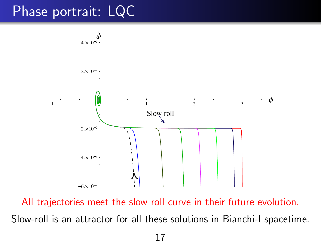## Phase portrait: LQC



All trajectories meet the slow roll curve in their future evolution. Slow-roll is an attractor for all these solutions in Bianchi-I spacetime.